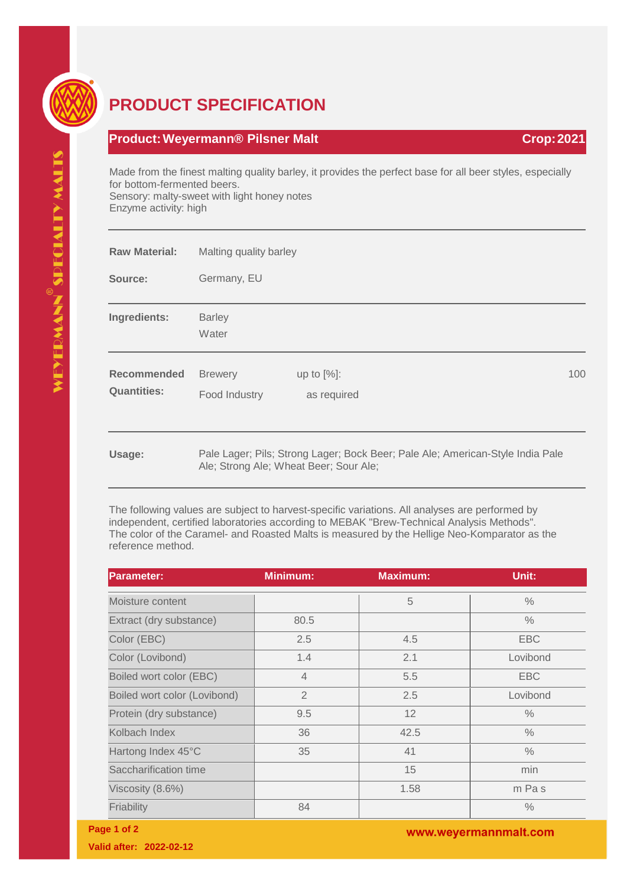

## **PRODUCT SPECIFICATION**

## **Product:Weyermann® Pilsner Malt Crop:2021**

Made from the finest malting quality barley, it provides the perfect base for all beer styles, especially for bottom-fermented beers. Sensory: malty-sweet with light honey notes Enzyme activity: high

| <b>Raw Material:</b>                     | Malting quality barley                 |                                                                                |     |
|------------------------------------------|----------------------------------------|--------------------------------------------------------------------------------|-----|
| Source:                                  | Germany, EU                            |                                                                                |     |
| Ingredients:                             | <b>Barley</b><br>Water                 |                                                                                |     |
| <b>Recommended</b><br><b>Quantities:</b> | <b>Brewery</b><br>Food Industry        | up to $[%]$ :<br>as required                                                   | 100 |
| Usage:                                   | Ale; Strong Ale; Wheat Beer; Sour Ale; | Pale Lager; Pils; Strong Lager; Bock Beer; Pale Ale; American-Style India Pale |     |

The following values are subject to harvest-specific variations. All analyses are performed by independent, certified laboratories according to MEBAK "Brew-Technical Analysis Methods". The color of the Caramel- and Roasted Malts is measured by the Hellige Neo-Komparator as the reference method.

| <b>Parameter:</b>            | <b>Minimum:</b> | <b>Maximum:</b> | Unit:         |
|------------------------------|-----------------|-----------------|---------------|
| Moisture content             |                 | 5               | $\frac{0}{0}$ |
| Extract (dry substance)      | 80.5            |                 | $\frac{0}{0}$ |
| Color (EBC)                  | 2.5             | 4.5             | <b>EBC</b>    |
| Color (Lovibond)             | 1.4             | 2.1             | Lovibond      |
| Boiled wort color (EBC)      | $\overline{4}$  | 5.5             | <b>EBC</b>    |
| Boiled wort color (Lovibond) | $\overline{2}$  | 2.5             | Lovibond      |
| Protein (dry substance)      | 9.5             | 12              | $\frac{0}{0}$ |
| Kolbach Index                | 36              | 42.5            | $\frac{0}{0}$ |
| Hartong Index 45°C           | 35              | 41              | $\frac{0}{0}$ |
| Saccharification time        |                 | 15              | min           |
| Viscosity (8.6%)             |                 | 1.58            | m Pas         |
| Friability                   | 84              |                 | $\frac{0}{0}$ |

**Page 1 of 2**

**Valid after: 2022-02-12**

www.weyermannmalt.com